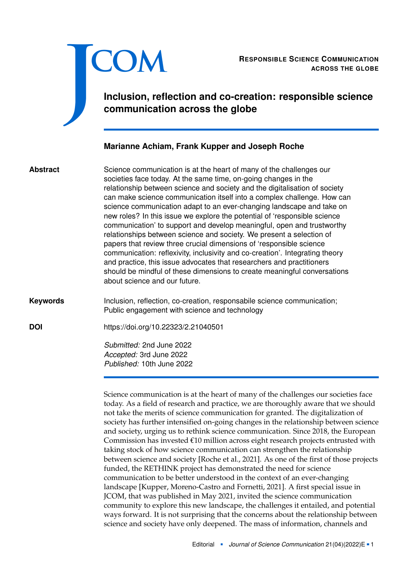

RESPONSIBLE SCIENCE COMMUNICATION<br>ACROSS THE GLOBE **ACROSS THE GLOBE**

**Inclusion, reflection and co-creation: responsible science communication across the globe**

# **Marianne Achiam, Frank Kupper and Joseph Roche**

Science communication is at the heart of many of the challenges our societies face today. At the same time, on-going changes in the relationship between science and society and the digitalisation of society can make science communication itself into a complex challenge. How can science communication adapt to an ever-changing landscape and take on new roles? In this issue we explore the potential of 'responsible science communication' to support and develop meaningful, open and trustworthy relationships between science and society. We present a selection of papers that review three crucial dimensions of 'responsible science communication: reflexivity, inclusivity and co-creation'. Integrating theory and practice, this issue advocates that researchers and practitioners should be mindful of these dimensions to create meaningful conversations about science and our future. **Abstract**

Inclusion, reflection, co-creation, responsabile science communication; Public engagement with science and technology **Keywords**

**DOI** <https://doi.org/10.22323/2.21040501>

*Submitted:* 2nd June 2022 *Accepted:* 3rd June 2022 *Published:* 10th June 2022

Science communication is at the heart of many of the challenges our societies face today. As a field of research and practice, we are thoroughly aware that we should not take the merits of science communication for granted. The digitalization of society has further intensified on-going changes in the relationship between science and society, urging us to rethink science communication. Since 2018, the European Commission has invested €10 million across eight research projects entrusted with taking stock of how science communication can strengthen the relationship between science and society [Roche et al., [2021\]](#page-6-0). As one of the first of those projects funded, the RETHINK project has demonstrated the need for science communication to be better understood in the context of an ever-changing landscape [Kupper, Moreno-Castro and Fornetti, [2021\]](#page-5-0). A first special issue in JCOM, that was published in May 2021, invited the science communication community to explore this new landscape, the challenges it entailed, and potential ways forward. It is not surprising that the concerns about the relationship between science and society have only deepened. The mass of information, channels and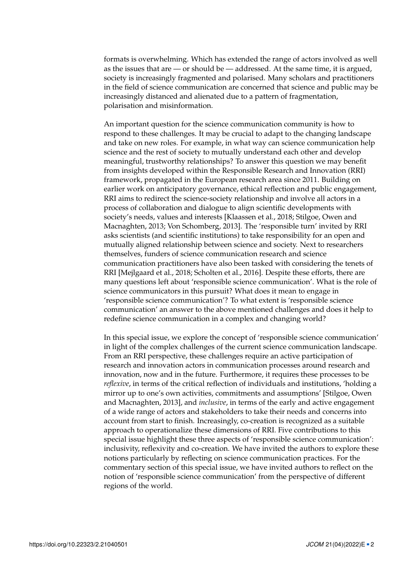formats is overwhelming. Which has extended the range of actors involved as well as the issues that are — or should be — addressed. At the same time, it is argued, society is increasingly fragmented and polarised. Many scholars and practitioners in the field of science communication are concerned that science and public may be increasingly distanced and alienated due to a pattern of fragmentation, polarisation and misinformation.

An important question for the science communication community is how to respond to these challenges. It may be crucial to adapt to the changing landscape and take on new roles. For example, in what way can science communication help science and the rest of society to mutually understand each other and develop meaningful, trustworthy relationships? To answer this question we may benefit from insights developed within the Responsible Research and Innovation (RRI) framework, propagated in the European research area since 2011. Building on earlier work on anticipatory governance, ethical reflection and public engagement, RRI aims to redirect the science-society relationship and involve all actors in a process of collaboration and dialogue to align scientific developments with society's needs, values and interests [Klaassen et al., [2018;](#page-5-1) Stilgoe, Owen and Macnaghten, [2013;](#page-6-1) Von Schomberg, [2013\]](#page-6-2). The 'responsible turn' invited by RRI asks scientists (and scientific institutions) to take responsibility for an open and mutually aligned relationship between science and society. Next to researchers themselves, funders of science communication research and science communication practitioners have also been tasked with considering the tenets of RRI [Mejlgaard et al., [2018;](#page-5-2) Scholten et al., [2016\]](#page-6-3). Despite these efforts, there are many questions left about 'responsible science communication'. What is the role of science communicators in this pursuit? What does it mean to engage in 'responsible science communication'? To what extent is 'responsible science communication' an answer to the above mentioned challenges and does it help to redefine science communication in a complex and changing world?

In this special issue, we explore the concept of 'responsible science communication' in light of the complex challenges of the current science communication landscape. From an RRI perspective, these challenges require an active participation of research and innovation actors in communication processes around research and innovation, now and in the future. Furthermore, it requires these processes to be *reflexive*, in terms of the critical reflection of individuals and institutions, 'holding a mirror up to one's own activities, commitments and assumptions' [Stilgoe, Owen and Macnaghten, [2013\]](#page-6-1), and *inclusive*, in terms of the early and active engagement of a wide range of actors and stakeholders to take their needs and concerns into account from start to finish. Increasingly, co-creation is recognized as a suitable approach to operationalize these dimensions of RRI. Five contributions to this special issue highlight these three aspects of 'responsible science communication': inclusivity, reflexivity and co-creation. We have invited the authors to explore these notions particularly by reflecting on science communication practices. For the commentary section of this special issue, we have invited authors to reflect on the notion of 'responsible science communication' from the perspective of different regions of the world.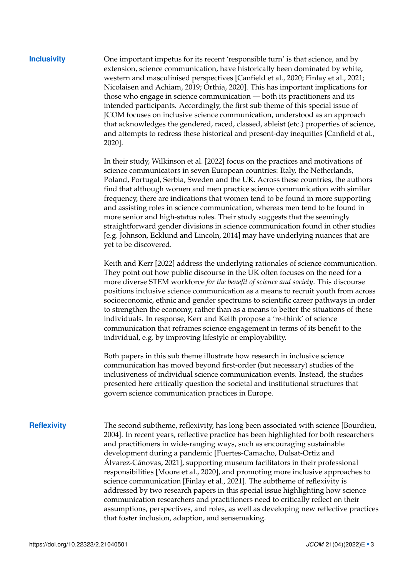**Inclusivity** One important impetus for its recent 'responsible turn' is that science, and by extension, science communication, have historically been dominated by white, western and masculinised perspectives [Canfield et al., [2020;](#page-4-0) Finlay et al., [2021;](#page-4-1) Nicolaisen and Achiam, [2019;](#page-5-3) Orthia, [2020\]](#page-5-4). This has important implications for those who engage in science communication — both its practitioners and its intended participants. Accordingly, the first sub theme of this special issue of JCOM focuses on inclusive science communication, understood as an approach that acknowledges the gendered, raced, classed, ableist (etc.) properties of science, and attempts to redress these historical and present-day inequities [Canfield et al., [2020\]](#page-4-0).

> In their study, Wilkinson et al. [\[2022\]](#page-6-4) focus on the practices and motivations of science communicators in seven European countries: Italy, the Netherlands, Poland, Portugal, Serbia, Sweden and the UK. Across these countries, the authors find that although women and men practice science communication with similar frequency, there are indications that women tend to be found in more supporting and assisting roles in science communication, whereas men tend to be found in more senior and high-status roles. Their study suggests that the seemingly straightforward gender divisions in science communication found in other studies [e.g. Johnson, Ecklund and Lincoln, [2014\]](#page-5-5) may have underlying nuances that are yet to be discovered.

> Keith and Kerr [\[2022\]](#page-5-6) address the underlying rationales of science communication. They point out how public discourse in the UK often focuses on the need for a more diverse STEM workforce *for the benefit of science and society*. This discourse positions inclusive science communication as a means to recruit youth from across socioeconomic, ethnic and gender spectrums to scientific career pathways in order to strengthen the economy, rather than as a means to better the situations of these individuals. In response, Kerr and Keith propose a 're-think' of science communication that reframes science engagement in terms of its benefit to the individual, e.g. by improving lifestyle or employability.

Both papers in this sub theme illustrate how research in inclusive science communication has moved beyond first-order (but necessary) studies of the inclusiveness of individual science communication events. Instead, the studies presented here critically question the societal and institutional structures that govern science communication practices in Europe.

**Reflexivity** The second subtheme, reflexivity, has long been associated with science [Bourdieu, [2004\]](#page-4-2). In recent years, reflective practice has been highlighted for both researchers and practitioners in wide-ranging ways, such as encouraging sustainable development during a pandemic [Fuertes-Camacho, Dulsat-Ortiz and Álvarez-Cánovas, [2021\]](#page-5-7), supporting museum facilitators in their professional responsibilities [Moore et al., [2020\]](#page-5-8), and promoting more inclusive approaches to science communication [Finlay et al., [2021\]](#page-4-1). The subtheme of reflexivity is addressed by two research papers in this special issue highlighting how science communication researchers and practitioners need to critically reflect on their assumptions, perspectives, and roles, as well as developing new reflective practices that foster inclusion, adaption, and sensemaking.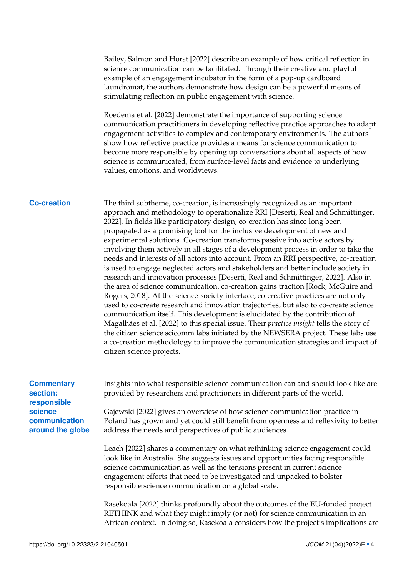Bailey, Salmon and Horst [\[2022\]](#page-4-3) describe an example of how critical reflection in science communication can be facilitated. Through their creative and playful example of an engagement incubator in the form of a pop-up cardboard laundromat, the authors demonstrate how design can be a powerful means of stimulating reflection on public engagement with science.

Roedema et al. [\[2022\]](#page-6-5) demonstrate the importance of supporting science communication practitioners in developing reflective practice approaches to adapt engagement activities to complex and contemporary environments. The authors show how reflective practice provides a means for science communication to become more responsible by opening up conversations about all aspects of how science is communicated, from surface-level facts and evidence to underlying values, emotions, and worldviews.

**Co-creation** The third subtheme, co-creation, is increasingly recognized as an important approach and methodology to operationalize RRI [Deserti, Real and Schmittinger, [2022\]](#page-4-4). In fields like participatory design, co-creation has since long been propagated as a promising tool for the inclusive development of new and experimental solutions. Co-creation transforms passive into active actors by involving them actively in all stages of a development process in order to take the needs and interests of all actors into account. From an RRI perspective, co-creation is used to engage neglected actors and stakeholders and better include society in research and innovation processes [Deserti, Real and Schmittinger, [2022\]](#page-4-4). Also in the area of science communication, co-creation gains traction [Rock, McGuire and Rogers, [2018\]](#page-6-6). At the science-society interface, co-creative practices are not only used to co-create research and innovation trajectories, but also to co-create science communication itself. This development is elucidated by the contribution of Magalhães et al. [\[2022\]](#page-5-9) to this special issue. Their *practice insight* tells the story of the citizen science scicomm labs initiated by the NEWSERA project. These labs use a co-creation methodology to improve the communication strategies and impact of citizen science projects.

| <b>Commentary</b> |
|-------------------|
| section:          |
| responsible       |
| science           |
| communication     |
| around the globe  |

Insights into what responsible science communication can and should look like are provided by researchers and practitioners in different parts of the world.

Gajewski [\[2022\]](#page-5-10) gives an overview of how science communication practice in Poland has grown and yet could still benefit from openness and reflexivity to better address the needs and perspectives of public audiences.

Leach [\[2022\]](#page-5-11) shares a commentary on what rethinking science engagement could look like in Australia. She suggests issues and opportunities facing responsible science communication as well as the tensions present in current science engagement efforts that need to be investigated and unpacked to bolster responsible science communication on a global scale.

Rasekoala [\[2022\]](#page-6-7) thinks profoundly about the outcomes of the EU-funded project RETHINK and what they might imply (or not) for science communication in an African context. In doing so, Rasekoala considers how the project's implications are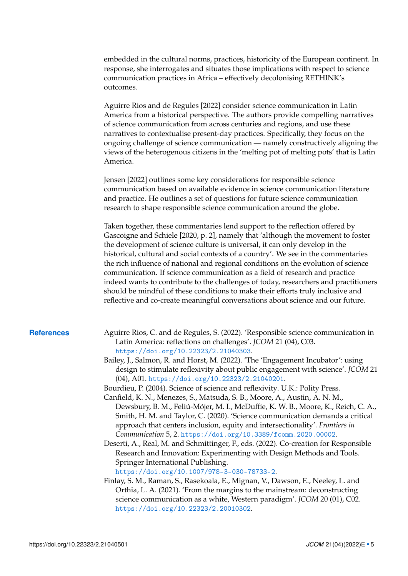embedded in the cultural norms, practices, historicity of the European continent. In response, she interrogates and situates those implications with respect to science communication practices in Africa – effectively decolonising RETHINK's outcomes.

Aguirre Rios and de Regules [\[2022\]](#page-4-5) consider science communication in Latin America from a historical perspective. The authors provide compelling narratives of science communication from across centuries and regions, and use these narratives to contextualise present-day practices. Specifically, they focus on the ongoing challenge of science communication — namely constructively aligning the views of the heterogenous citizens in the 'melting pot of melting pots' that is Latin America.

Jensen [\[2022\]](#page-5-12) outlines some key considerations for responsible science communication based on available evidence in science communication literature and practice. He outlines a set of questions for future science communication research to shape responsible science communication around the globe.

Taken together, these commentaries lend support to the reflection offered by Gascoigne and Schiele [\[2020,](#page-5-13) p. 2], namely that 'although the movement to foster the development of science culture is universal, it can only develop in the historical, cultural and social contexts of a country'. We see in the commentaries the rich influence of national and regional conditions on the evolution of science communication. If science communication as a field of research and practice indeed wants to contribute to the challenges of today, researchers and practitioners should be mindful of these conditions to make their efforts truly inclusive and reflective and co-create meaningful conversations about science and our future.

- <span id="page-4-5"></span><span id="page-4-3"></span>**References** Aguirre Rios, C. and de Regules, S. (2022). 'Responsible science communication in Latin America: reflections on challenges'. *JCOM* 21 (04), C03. <https://doi.org/10.22323/2.21040303>.
	- Bailey, J., Salmon, R. and Horst, M. (2022). 'The 'Engagement Incubator': using design to stimulate reflexivity about public engagement with science'. *JCOM* 21 (04), A01. <https://doi.org/10.22323/2.21040201>.
	- Bourdieu, P. (2004). Science of science and reflexivity. U.K.: Polity Press.
	- Canfield, K. N., Menezes, S., Matsuda, S. B., Moore, A., Austin, A. N. M., Dewsbury, B. M., Feliú-Mójer, M. I., McDuffie, K. W. B., Moore, K., Reich, C. A., Smith, H. M. and Taylor, C. (2020). 'Science communication demands a critical approach that centers inclusion, equity and intersectionality'. *Frontiers in Communication* 5, 2. <https://doi.org/10.3389/fcomm.2020.00002>.
	- Deserti, A., Real, M. and Schmittinger, F., eds. (2022). Co-creation for Responsible Research and Innovation: Experimenting with Design Methods and Tools. Springer International Publishing.

<span id="page-4-4"></span><span id="page-4-2"></span><span id="page-4-0"></span><https://doi.org/10.1007/978-3-030-78733-2>.

<span id="page-4-1"></span>Finlay, S. M., Raman, S., Rasekoala, E., Mignan, V., Dawson, E., Neeley, L. and Orthia, L. A. (2021). 'From the margins to the mainstream: deconstructing science communication as a white, Western paradigm'. *JCOM* 20 (01), C02. <https://doi.org/10.22323/2.20010302>.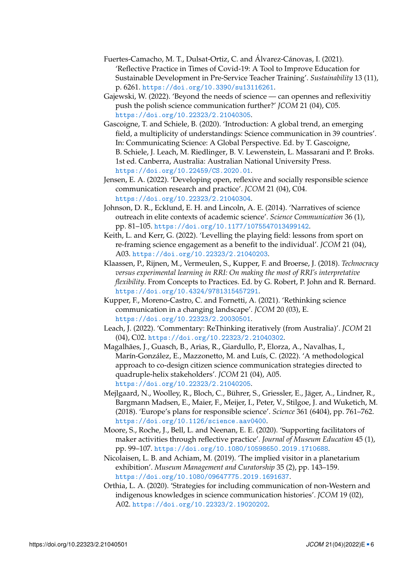- <span id="page-5-7"></span>Fuertes-Camacho, M. T., Dulsat-Ortiz, C. and Álvarez-Cánovas, I. (2021). 'Reflective Practice in Times of Covid-19: A Tool to Improve Education for Sustainable Development in Pre-Service Teacher Training'. *Sustainability* 13 (11), p. 6261. <https://doi.org/10.3390/su13116261>.
- <span id="page-5-10"></span>Gajewski, W. (2022). 'Beyond the needs of science — can opennes and reflexivitiy push the polish science communication further?' *JCOM* 21 (04), C05. <https://doi.org/10.22323/2.21040305>.
- <span id="page-5-13"></span>Gascoigne, T. and Schiele, B. (2020). 'Introduction: A global trend, an emerging field, a multiplicity of understandings: Science communication in 39 countries'. In: Communicating Science: A Global Perspective. Ed. by T. Gascoigne, B. Schiele, J. Leach, M. Riedlinger, B. V. Lewenstein, L. Massarani and P. Broks. 1st ed. Canberra, Australia: Australian National University Press. <https://doi.org/10.22459/CS.2020.01>.
- <span id="page-5-12"></span>Jensen, E. A. (2022). 'Developing open, reflexive and socially responsible science communication research and practice'. *JCOM* 21 (04), C04. <https://doi.org/10.22323/2.21040304>.
- <span id="page-5-5"></span>Johnson, D. R., Ecklund, E. H. and Lincoln, A. E. (2014). 'Narratives of science outreach in elite contexts of academic science'. *Science Communication* 36 (1), pp. 81–105. <https://doi.org/10.1177/1075547013499142>.
- <span id="page-5-6"></span>Keith, L. and Kerr, G. (2022). 'Levelling the playing field: lessons from sport on re-framing science engagement as a benefit to the individual'. *JCOM* 21 (04), A03. <https://doi.org/10.22323/2.21040203>.
- <span id="page-5-1"></span>Klaassen, P., Rijnen, M., Vermeulen, S., Kupper, F. and Broerse, J. (2018). *Technocracy versus experimental learning in RRI: On making the most of RRI's interpretative flexibility*. From Concepts to Practices. Ed. by G. Robert, P. John and R. Bernard. <https://doi.org/10.4324/9781315457291>.
- <span id="page-5-0"></span>Kupper, F., Moreno-Castro, C. and Fornetti, A. (2021). 'Rethinking science communication in a changing landscape'. *JCOM* 20 (03), E. <https://doi.org/10.22323/2.20030501>.
- <span id="page-5-11"></span>Leach, J. (2022). 'Commentary: ReThinking iteratively (from Australia)'. *JCOM* 21 (04), C02. <https://doi.org/10.22323/2.21040302>.
- <span id="page-5-9"></span>Magalhães, J., Guasch, B., Arias, R., Giardullo, P., Elorza, A., Navalhas, I., Marín-González, E., Mazzonetto, M. and Luís, C. (2022). 'A methodological approach to co-design citizen science communication strategies directed to quadruple-helix stakeholders'. *JCOM* 21 (04), A05. <https://doi.org/10.22323/2.21040205>.
- <span id="page-5-2"></span>Mejlgaard, N., Woolley, R., Bloch, C., Bührer, S., Griessler, E., Jäger, A., Lindner, R., Bargmann Madsen, E., Maier, F., Meijer, I., Peter, V., Stilgoe, J. and Wuketich, M. (2018). 'Europe's plans for responsible science'. *Science* 361 (6404), pp. 761–762. <https://doi.org/10.1126/science.aav0400>.
- <span id="page-5-8"></span>Moore, S., Roche, J., Bell, L. and Neenan, E. E. (2020). 'Supporting facilitators of maker activities through reflective practice'. *Journal of Museum Education* 45 (1), pp. 99–107. <https://doi.org/10.1080/10598650.2019.1710688>.
- <span id="page-5-3"></span>Nicolaisen, L. B. and Achiam, M. (2019). 'The implied visitor in a planetarium exhibition'. *Museum Management and Curatorship* 35 (2), pp. 143–159. <https://doi.org/10.1080/09647775.2019.1691637>.
- <span id="page-5-4"></span>Orthia, L. A. (2020). 'Strategies for including communication of non-Western and indigenous knowledges in science communication histories'. *JCOM* 19 (02), A02. <https://doi.org/10.22323/2.19020202>.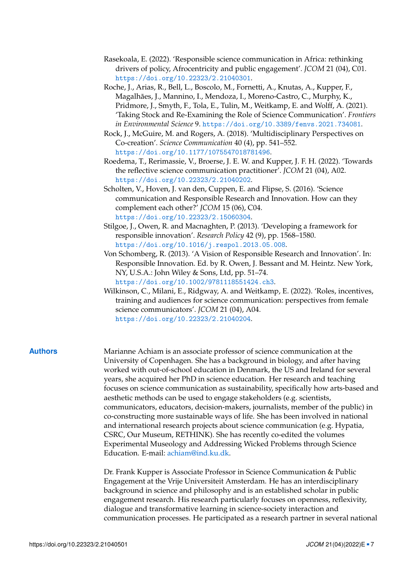- <span id="page-6-7"></span>Rasekoala, E. (2022). 'Responsible science communication in Africa: rethinking drivers of policy, Afrocentricity and public engagement'. *JCOM* 21 (04), C01. <https://doi.org/10.22323/2.21040301>.
- <span id="page-6-0"></span>Roche, J., Arias, R., Bell, L., Boscolo, M., Fornetti, A., Knutas, A., Kupper, F., Magalhães, J., Mannino, I., Mendoza, I., Moreno-Castro, C., Murphy, K., Pridmore, J., Smyth, F., Tola, E., Tulin, M., Weitkamp, E. and Wolff, A. (2021). 'Taking Stock and Re-Examining the Role of Science Communication'. *Frontiers in Environmental Science* 9. <https://doi.org/10.3389/fenvs.2021.734081>.
- <span id="page-6-6"></span>Rock, J., McGuire, M. and Rogers, A. (2018). 'Multidisciplinary Perspectives on Co-creation'. *Science Communication* 40 (4), pp. 541–552. <https://doi.org/10.1177/1075547018781496>.
- <span id="page-6-5"></span>Roedema, T., Rerimassie, V., Broerse, J. E. W. and Kupper, J. F. H. (2022). 'Towards the reflective science communication practitioner'. *JCOM* 21 (04), A02. <https://doi.org/10.22323/2.21040202>.
- <span id="page-6-3"></span>Scholten, V., Hoven, J. van den, Cuppen, E. and Flipse, S. (2016). 'Science communication and Responsible Research and Innovation. How can they complement each other?' *JCOM* 15 (06), C04. <https://doi.org/10.22323/2.15060304>.
- <span id="page-6-1"></span>Stilgoe, J., Owen, R. and Macnaghten, P. (2013). 'Developing a framework for responsible innovation'. *Research Policy* 42 (9), pp. 1568–1580. <https://doi.org/10.1016/j.respol.2013.05.008>.
- <span id="page-6-2"></span>Von Schomberg, R. (2013). 'A Vision of Responsible Research and Innovation'. In: Responsible Innovation. Ed. by R. Owen, J. Bessant and M. Heintz. New York, NY, U.S.A.: John Wiley & Sons, Ltd, pp. 51–74. <https://doi.org/10.1002/9781118551424.ch3>.
- <span id="page-6-4"></span>Wilkinson, C., Milani, E., Ridgway, A. and Weitkamp, E. (2022). 'Roles, incentives, training and audiences for science communication: perspectives from female science communicators'. *JCOM* 21 (04), A04. <https://doi.org/10.22323/2.21040204>.

**Authors** Marianne Achiam is an associate professor of science communication at the University of Copenhagen. She has a background in biology, and after having worked with out-of-school education in Denmark, the US and Ireland for several years, she acquired her PhD in science education. Her research and teaching focuses on science communication as sustainability, specifically how arts-based and aesthetic methods can be used to engage stakeholders (e.g. scientists, communicators, educators, decision-makers, journalists, member of the public) in co-constructing more sustainable ways of life. She has been involved in national and international research projects about science communication (e.g. Hypatia, CSRC, Our Museum, RETHINK). She has recently co-edited the volumes Experimental Museology and Addressing Wicked Problems through Science Education. E-mail: [achiam@ind.ku.dk.](mailto:achiam@ind.ku.dk)

> Dr. Frank Kupper is Associate Professor in Science Communication & Public Engagement at the Vrije Universiteit Amsterdam. He has an interdisciplinary background in science and philosophy and is an established scholar in public engagement research. His research particularly focuses on openness, reflexivity, dialogue and transformative learning in science-society interaction and communication processes. He participated as a research partner in several national